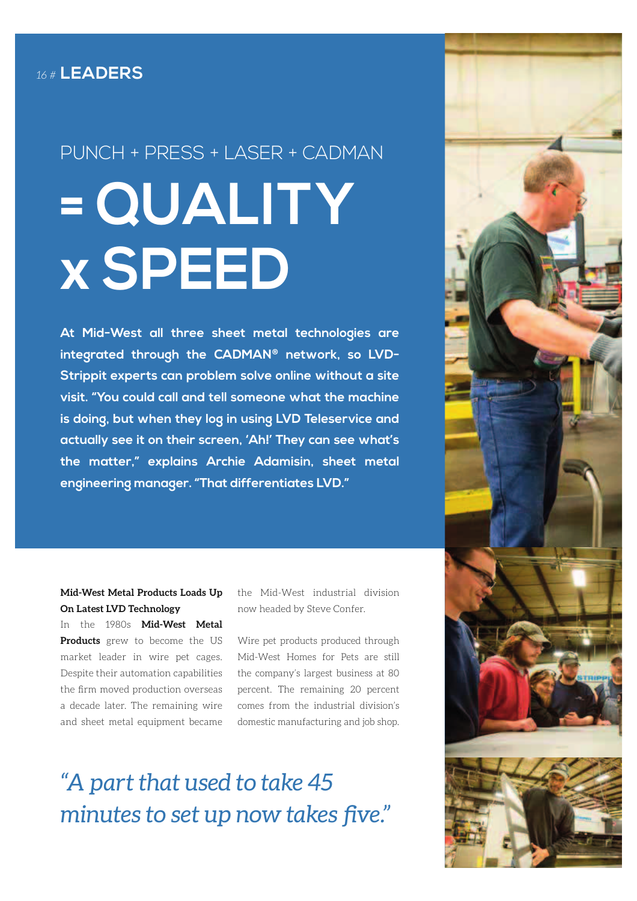# PUNCH + PRESS + LASER + CADMAN **= QUALITY x SPEED**

**At Mid-West all three sheet metal technologies are integrated through the CADMAN® network, so LVD-Strippit experts can problem solve online without a site visit. "You could call and tell someone what the machine is doing, but when they log in using LVD Teleservice and actually see it on their screen, 'Ah!' They can see what's the matter," explains Archie Adamisin, sheet metal engineering manager. "That differentiates LVD."**

### **Mid-West Metal Products Loads Up On Latest LVD Technology**

In the 1980s **Mid-West Metal Products** grew to become the US market leader in wire pet cages. Despite their automation capabilities the firm moved production overseas a decade later. The remaining wire and sheet metal equipment became

the Mid-West industrial division now headed by Steve Confer.

Wire pet products produced through Mid-West Homes for Pets are still the company's largest business at 80 percent. The remaining 20 percent comes from the industrial division's domestic manufacturing and job shop.

## *"A part that used to take 45 minutes to set up now takes five."*